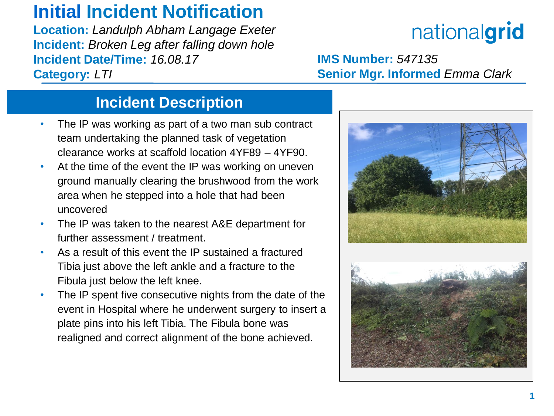## **Initial Incident Notification**

**Location:** *Landulph Abham Langage Exeter* **Incident:** *Broken Leg after falling down hole* **Incident Date/Time:** *16.08.17* **Category:** *LTI*

# nationalgrid

**IMS Number:** *547135* **Senior Mgr. Informed** *Emma Clark*

### **Incident Description**

- The IP was working as part of a two man sub contract team undertaking the planned task of vegetation clearance works at scaffold location 4YF89 – 4YF90.
- At the time of the event the IP was working on uneven ground manually clearing the brushwood from the work area when he stepped into a hole that had been uncovered
- The IP was taken to the nearest A&E department for further assessment / treatment
- As a result of this event the IP sustained a fractured Tibia just above the left ankle and a fracture to the Fibula just below the left knee.
- The IP spent five consecutive nights from the date of the event in Hospital where he underwent surgery to insert a plate pins into his left Tibia. The Fibula bone was realigned and correct alignment of the bone achieved.

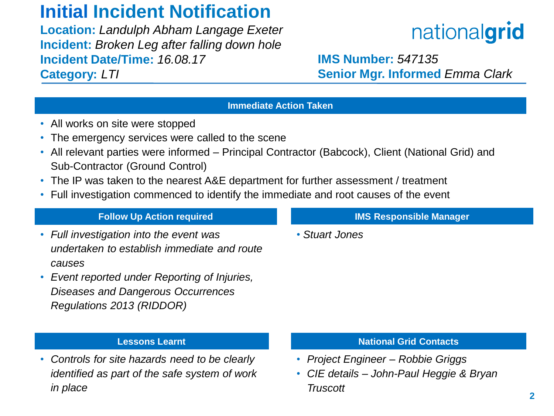### **Initial Incident Notification**

**Location:** *Landulph Abham Langage Exeter* **Incident:** *Broken Leg after falling down hole* **Incident Date/Time:** *16.08.17* **Category:** *LTI* 

## nationalgrid

**IMS Number:** *547135* **Senior Mgr. Informed** *Emma Clark*

#### **Immediate Action Taken**

- All works on site were stopped
- The emergency services were called to the scene
- All relevant parties were informed Principal Contractor (Babcock), Client (National Grid) and Sub-Contractor (Ground Control)
- The IP was taken to the nearest A&E department for further assessment / treatment
- Full investigation commenced to identify the immediate and root causes of the event

#### **Follow Up Action required**

- *Full investigation into the event was undertaken to establish immediate and route causes*
- *Event reported under Reporting of Injuries, Diseases and Dangerous Occurrences Regulations 2013 (RIDDOR)*

#### **Lessons Learnt**

• *Controls for site hazards need to be clearly identified as part of the safe system of work in place*

#### **IMS Responsible Manager**

• *Stuart Jones*

#### **National Grid Contacts**

- *Project Engineer – Robbie Griggs*
- *CIE details – John-Paul Heggie & Bryan Truscott*